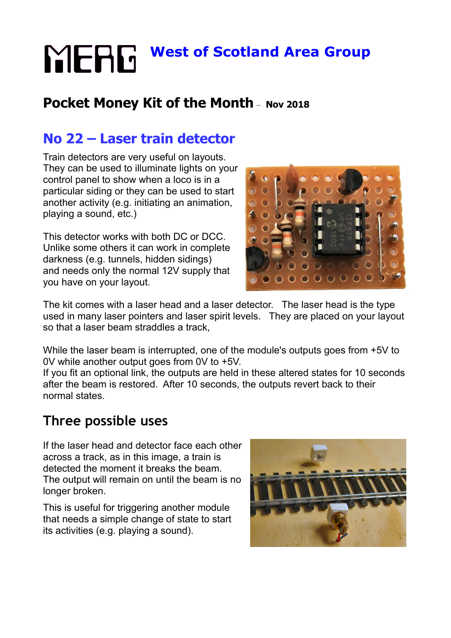## **MERG** West of Scotland Area Group

## **Pocket Money Kit of the Month** – **Nov 2018**

## **No 22 – Laser train detector**

Train detectors are very useful on layouts. They can be used to illuminate lights on your control panel to show when a loco is in a particular siding or they can be used to start another activity (e.g. initiating an animation, playing a sound, etc.)

This detector works with both DC or DCC. Unlike some others it can work in complete darkness (e.g. tunnels, hidden sidings) and needs only the normal 12V supply that you have on your layout.



The kit comes with a laser head and a laser detector. The laser head is the type used in many laser pointers and laser spirit levels. They are placed on your layout so that a laser beam straddles a track,

While the laser beam is interrupted, one of the module's outputs goes from  $+5V$  to 0V while another output goes from 0V to +5V.

If you fit an optional link, the outputs are held in these altered states for 10 seconds after the beam is restored. After 10 seconds, the outputs revert back to their normal states.

## **Three possible uses**

If the laser head and detector face each other across a track, as in this image, a train is detected the moment it breaks the beam. The output will remain on until the beam is no longer broken.

This is useful for triggering another module that needs a simple change of state to start its activities (e.g. playing a sound).